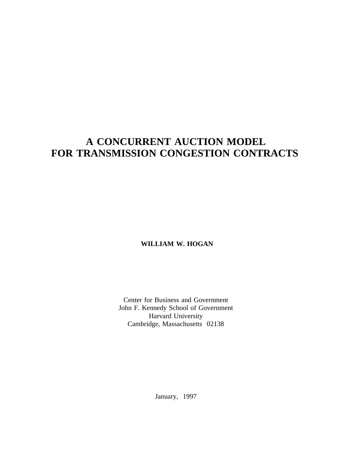# **A CONCURRENT AUCTION MODEL FOR TRANSMISSION CONGESTION CONTRACTS**

**WILLIAM W. HOGAN**

Center for Business and Government John F. Kennedy School of Government Harvard University Cambridge, Massachusetts 02138

January, 1997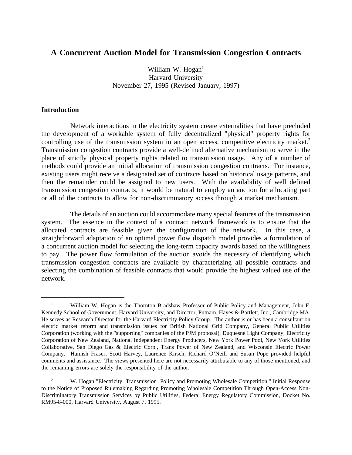## **A Concurrent Auction Model for Transmission Congestion Contracts**

William W.  $Hogan<sup>1</sup>$ Harvard University November 27, 1995 (Revised January, 1997)

#### **Introduction**

Network interactions in the electricity system create externalities that have precluded the development of a workable system of fully decentralized "physical" property rights for controlling use of the transmission system in an open access, competitive electricity market.<sup>2</sup> Transmission congestion contracts provide a well-defined alternative mechanism to serve in the place of strictly physical property rights related to transmission usage. Any of a number of methods could provide an initial allocation of transmission congestion contracts. For instance, existing users might receive a designated set of contracts based on historical usage patterns, and then the remainder could be assigned to new users. With the availability of well defined transmission congestion contracts, it would be natural to employ an auction for allocating part or all of the contracts to allow for non-discriminatory access through a market mechanism.

The details of an auction could accommodate many special features of the transmission system. The essence in the context of a contract network framework is to ensure that the allocated contracts are feasible given the configuration of the network. In this case, a straightforward adaptation of an optimal power flow dispatch model provides a formulation of a concurrent auction model for selecting the long-term capacity awards based on the willingness to pay. The power flow formulation of the auction avoids the necessity of identifying which transmission congestion contracts are available by characterizing all possible contracts and selecting the combination of feasible contracts that would provide the highest valued use of the network.

<sup>&</sup>lt;sup>1</sup> William W. Hogan is the Thornton Bradshaw Professor of Public Policy and Management, John F. Kennedy School of Government, Harvard University, and Director, Putnam, Hayes & Bartlett, Inc., Cambridge MA. He serves as Research Director for the Harvard Electricity Policy Group. The author is or has been a consultant on electric market reform and transmission issues for British National Grid Company, General Public Utilities Corporation (working with the "supporting" companies of the PJM proposal), Duquesne Light Company, Electricity Corporation of New Zealand, National Independent Energy Producers, New York Power Pool, New York Utilities Collaborative, San Diego Gas & Electric Corp., Trans Power of New Zealand, and Wisconsin Electric Power Company. Hamish Fraser, Scott Harvey, Laurence Kirsch, Richard O'Neill and Susan Pope provided helpful comments and assistance. The views presented here are not necessarily attributable to any of those mentioned, and the remaining errors are solely the responsibility of the author.

<sup>&</sup>lt;sup>2</sup> W. Hogan "Electricity Transmission Policy and Promoting Wholesale Competition," Initial Response to the Notice of Proposed Rulemaking Regarding Promoting Wholesale Competition Through Open-Access Non-Discriminatory Transmission Services by Public Utilities, Federal Energy Regulatory Commission, Docket No. RM95-8-000, Harvard University, August 7, 1995.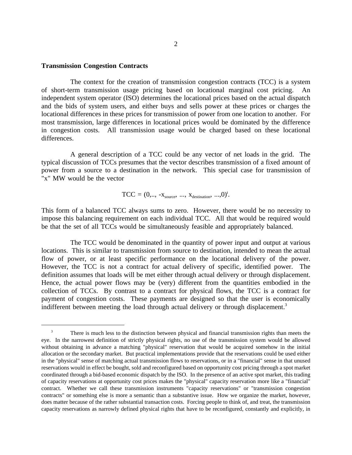#### **Transmission Congestion Contracts**

The context for the creation of transmission congestion contracts (TCC) is a system of short-term transmission usage pricing based on locational marginal cost pricing. An independent system operator (ISO) determines the locational prices based on the actual dispatch and the bids of system users, and either buys and sells power at these prices or charges the locational differences in these prices for transmission of power from one location to another. For most transmission, large differences in locational prices would be dominated by the difference in congestion costs. All transmission usage would be charged based on these locational differences.

A general description of a TCC could be any vector of net loads in the grid. The typical discussion of TCCs presumes that the vector describes transmission of a fixed amount of power from a source to a destination in the network. This special case for transmission of "x" MW would be the vector

$$
TCC = (0,.., -x_{source},\ ...,\ x_{destination},\ ... ,0)^t.
$$

This form of a balanced TCC always sums to zero. However, there would be no necessity to impose this balancing requirement on each individual TCC. All that would be required would be that the set of all TCCs would be simultaneously feasible and appropriately balanced.

The TCC would be denominated in the quantity of power input and output at various locations. This is similar to transmission from source to destination, intended to mean the actual flow of power, or at least specific performance on the locational delivery of the power. However, the TCC is not a contract for actual delivery of specific, identified power. The definition assumes that loads will be met either through actual delivery or through displacement. Hence, the actual power flows may be (very) different from the quantities embodied in the collection of TCCs. By contrast to a contract for physical flows, the TCC is a contract for payment of congestion costs. These payments are designed so that the user is economically indifferent between meeting the load through actual delivery or through displacement.<sup>3</sup>

<sup>&</sup>lt;sup>3</sup> There is much less to the distinction between physical and financial transmission rights than meets the eye. In the narrowest definition of strictly physical rights, no use of the transmission system would be allowed without obtaining in advance a matching "physical" reservation that would be acquired somehow in the initial allocation or the secondary market. But practical implementations provide that the reservations could be used either in the "physical" sense of matching actual transmission flows to reservations, or in a "financial" sense in that unused reservations would in effect be bought, sold and reconfigured based on opportunity cost pricing through a spot market coordinated through a bid-based economic dispatch by the ISO. In the presence of an active spot market, this trading of capacity reservations at opportunity cost prices makes the "physical" capacity reservation more like a "financial" contract. Whether we call these transmission instruments "capacity reservations" or "transmission congestion contracts" or something else is more a semantic than a substantive issue. How we organize the market, however, does matter because of the rather substantial transaction costs. Forcing people to think of, and treat, the transmission capacity reservations as narrowly defined physical rights that have to be reconfigured, constantly and explicitly, in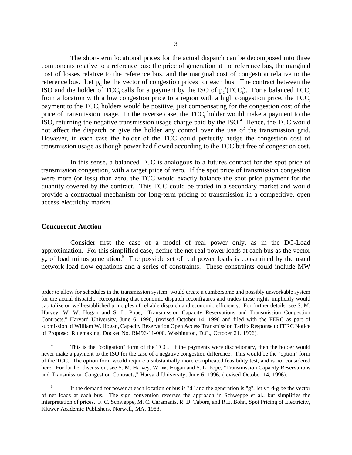The short-term locational prices for the actual dispatch can be decomposed into three components relative to a reference bus: the price of generation at the reference bus, the marginal cost of losses relative to the reference bus, and the marginal cost of congestion relative to the reference bus. Let  $p_C$  be the vector of congestion prices for each bus. The contract between the ISO and the holder of TCC<sub>i</sub> calls for a payment by the ISO of  $p_C^{\ t}(\text{TCC}_i)$ . For a balanced TCC<sub>i</sub> from a location with a low congestion price to a region with a high congestion price, the  $TCC<sub>i</sub>$ payment to the  $TCC<sub>i</sub>$  holders would be positive, just compensating for the congestion cost of the price of transmission usage. In the reverse case, the TCC, holder would make a payment to the ISO, returning the negative transmission usage charge paid by the ISO. $4$  Hence, the TCC would not affect the dispatch or give the holder any control over the use of the transmission grid. However, in each case the holder of the TCC could perfectly hedge the congestion cost of transmission usage as though power had flowed according to the TCC but free of congestion cost.

In this sense, a balanced TCC is analogous to a futures contract for the spot price of transmission congestion, with a target price of zero. If the spot price of transmission congestion were more (or less) than zero, the TCC would exactly balance the spot price payment for the quantity covered by the contract. This TCC could be traded in a secondary market and would provide a contractual mechanism for long-term pricing of transmission in a competitive, open access electricity market.

#### **Concurrent Auction**

Consider first the case of a model of real power only, as in the DC-Load approximation. For this simplified case, define the net real power loads at each bus as the vector  $y<sub>p</sub>$  of load minus generation.<sup>5</sup> The possible set of real power loads is constrained by the usual network load flow equations and a series of constraints. These constraints could include MW

order to allow for schedules in the transmission system, would create a cumbersome and possibly unworkable system for the actual dispatch. Recognizing that economic dispatch reconfigures and trades these rights implicitly would capitalize on well-established principles of reliable dispatch and economic efficiency. For further details, see S. M. Harvey, W. W. Hogan and S. L. Pope, "Transmission Capacity Reservations and Transmission Congestion Contracts," Harvard University, June 6, 1996, (revised October 14, 1996 and filed with the FERC as part of submission of William W. Hogan, Capacity Reservation Open Access Transmission Tariffs Response to FERC Notice of Proposed Rulemaking, Docket No. RM96-11-000, Washington, D.C., October 21, 1996).

<sup>4</sup> This is the "obligation" form of the TCC. If the payments were discretionary, then the holder would never make a payment to the ISO for the case of a negative congestion difference. This would be the "option" form of the TCC. The option form would require a substantially more complicated feasibility test, and is not considered here. For further discussion, see S. M. Harvey, W. W. Hogan and S. L. Pope, "Transmission Capacity Reservations and Transmission Congestion Contracts," Harvard University, June 6, 1996, (revised October 14, 1996).

If the demand for power at each location or bus is "d" and the generation is "g", let  $y = d-g$  be the vector of net loads at each bus. The sign convention reverses the approach in Schweppe et al., but simplifies the interpretation of prices. F. C. Schweppe, M. C. Caramanis, R. D. Tabors, and R.E. Bohn, Spot Pricing of Electricity, Kluwer Academic Publishers, Norwell, MA, 1988.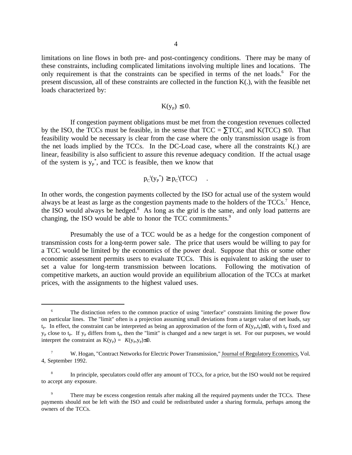limitations on line flows in both pre- and post-contingency conditions. There may be many of these constraints, including complicated limitations involving multiple lines and locations. The only requirement is that the constraints can be specified in terms of the net loads.<sup>6</sup> For the present discussion, all of these constraints are collected in the function K(.), with the feasible net loads characterized by:

$$
K(y_p)\leq 0.
$$

If congestion payment obligations must be met from the congestion revenues collected by the ISO, the TCCs must be feasible, in the sense that  $TCC = \Sigma TCC$ ; and  $K(TCC) \le 0$ . That feasibility would be necessary is clear from the case where the only transmission usage is from the net loads implied by the TCCs. In the DC-Load case, where all the constraints  $K(.)$  are linear, feasibility is also sufficient to assure this revenue adequacy condition. If the actual usage of the system is  $y_P^*$ , and TCC is feasible, then we know that

$$
p_C^{\ t}(y_P^*) \ge p_C^{\ t}(TCC) \quad .
$$

In other words, the congestion payments collected by the ISO for actual use of the system would always be at least as large as the congestion payments made to the holders of the TCCs.<sup>7</sup> Hence, the ISO would always be hedged. $8$  As long as the grid is the same, and only load patterns are changing, the ISO would be able to honor the TCC commitments.<sup>9</sup>

Presumably the use of a TCC would be as a hedge for the congestion component of transmission costs for a long-term power sale. The price that users would be willing to pay for a TCC would be limited by the economics of the power deal. Suppose that this or some other economic assessment permits users to evaluate TCCs. This is equivalent to asking the user to set a value for long-term transmission between locations. Following the motivation of competitive markets, an auction would provide an equilibrium allocation of the TCCs at market prices, with the assignments to the highest valued uses.

The distinction refers to the common practice of using "interface" constraints limiting the power flow on particular lines. The "limit" often is a projection assuming small deviations from a target value of net loads, say t<sub>p</sub>. In effect, the constraint can be interpreted as being an approximation of the form of  $K(y_p,t_p)≤0$ , with t<sub>p</sub> fixed and  $y<sub>P</sub>$  close to t<sub>p</sub>. If  $y<sub>P</sub>$  differs from t<sub>p</sub>, then the "limit" is changed and a new target is set. For our purposes, we would interpret the constraint as  $K(y_P) = K(y_P, y_P) \le 0$ .

W. Hogan, "Contract Networks for Electric Power Transmission," Journal of Regulatory Economics, Vol. 4, September 1992.

<sup>8</sup> In principle, speculators could offer any amount of TCCs, for a price, but the ISO would not be required to accept any exposure.

There may be excess congestion rentals after making all the required payments under the TCCs. These payments should not be left with the ISO and could be redistributed under a sharing formula, perhaps among the owners of the TCCs.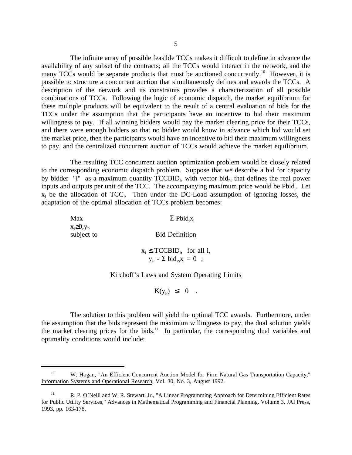The infinite array of possible feasible TCCs makes it difficult to define in advance the availability of any subset of the contracts; all the TCCs would interact in the network, and the many TCCs would be separate products that must be auctioned concurrently.<sup>10</sup> However, it is possible to structure a concurrent auction that simultaneously defines and awards the TCCs. A description of the network and its constraints provides a characterization of all possible combinations of TCCs. Following the logic of economic dispatch, the market equilibrium for these multiple products will be equivalent to the result of a central evaluation of bids for the TCCs under the assumption that the participants have an incentive to bid their maximum willingness to pay. If all winning bidders would pay the market clearing price for their TCCs, and there were enough bidders so that no bidder would know in advance which bid would set the market price, then the participants would have an incentive to bid their maximum willingness to pay, and the centralized concurrent auction of TCCs would achieve the market equilibrium.

The resulting TCC concurrent auction optimization problem would be closely related to the corresponding economic dispatch problem. Suppose that we describe a bid for capacity by bidder "i" as a maximum quantity  $TCCBID_i$ , with vector bid<sub>Pi</sub> that defines the real power inputs and outputs per unit of the TCC. The accompanying maximum price would be Pbid<sub>i</sub>. Let  $x_i$  be the allocation of TCC<sub>i</sub>. Then under the DC-Load assumption of ignoring losses, the adaptation of the optimal allocation of TCCs problem becomes:

| Max                             | $\Sigma$ Pbid <sub>i</sub> x <sub>i</sub>                          |
|---------------------------------|--------------------------------------------------------------------|
| $x_i \geq 0, y_p$<br>subject to | <b>Bid Definition</b>                                              |
|                                 | $x_i \leq TCCBID_i$ , for all i,<br>$y_p - \sum bid_{pi}X_i = 0$ ; |

#### Kirchoff's Laws and System Operating Limits

 $K(y_p) \leq 0$ .

The solution to this problem will yield the optimal TCC awards. Furthermore, under the assumption that the bids represent the maximum willingness to pay, the dual solution yields the market clearing prices for the bids.<sup>11</sup> In particular, the corresponding dual variables and optimality conditions would include:

<sup>&</sup>lt;sup>10</sup> W. Hogan, "An Efficient Concurrent Auction Model for Firm Natural Gas Transportation Capacity," Information Systems and Operational Research, Vol. 30, No. 3, August 1992.

<sup>&</sup>lt;sup>11</sup> R. P. O'Neill and W. R. Stewart, Jr., "A Linear Programming Approach for Determining Efficient Rates for Public Utility Services," Advances in Mathematical Programming and Financial Planning, Volume 3, JAI Press, 1993, pp. 163-178.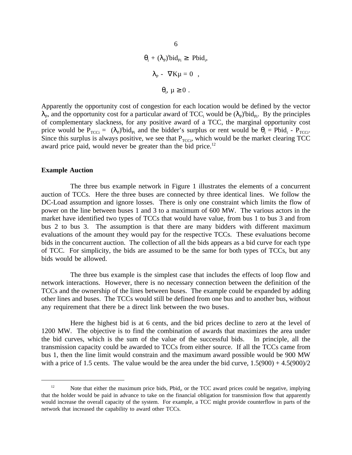$$
\theta_{i} + (\lambda_{p})^{t}bid_{Pi} \geq \text{ Pbid}_{i},
$$

$$
\lambda_{p} - \nabla K\mu = 0 ,
$$

$$
\theta_{i}, \mu \geq 0 .
$$

Apparently the opportunity cost of congestion for each location would be defined by the vector  $\lambda_P$ , and the opportunity cost for a particular award of TCC<sub>i</sub> would be  $(\lambda_P)'$ bid<sub>Pi</sub>. By the principles of complementary slackness, for any positive award of a TCC, the marginal opportunity cost price would be  $P_{TCCi} = (\lambda_P)^t bid_{Pi}$  and the bidder's surplus or rent would be  $\theta_i = Pbid_i - P_{TCCi}$ . Since this surplus is always positive, we see that  $P_{TCCi}$ , which would be the market clearing TCC award price paid, would never be greater than the bid price.<sup>12</sup>

#### **Example Auction**

The three bus example network in Figure 1 illustrates the elements of a concurrent auction of TCCs. Here the three buses are connected by three identical lines. We follow the DC-Load assumption and ignore losses. There is only one constraint which limits the flow of power on the line between buses 1 and 3 to a maximum of 600 MW. The various actors in the market have identified two types of TCCs that would have value, from bus 1 to bus 3 and from bus 2 to bus 3. The assumption is that there are many bidders with different maximum evaluations of the amount they would pay for the respective TCCs. These evaluations become bids in the concurrent auction. The collection of all the bids appears as a bid curve for each type of TCC. For simplicity, the bids are assumed to be the same for both types of TCCs, but any bids would be allowed.

The three bus example is the simplest case that includes the effects of loop flow and network interactions. However, there is no necessary connection between the definition of the TCCs and the ownership of the lines between buses. The example could be expanded by adding other lines and buses. The TCCs would still be defined from one bus and to another bus, without any requirement that there be a direct link between the two buses.

Here the highest bid is at 6 cents, and the bid prices decline to zero at the level of 1200 MW. The objective is to find the combination of awards that maximizes the area under the bid curves, which is the sum of the value of the successful bids. In principle, all the transmission capacity could be awarded to TCCs from either source. If all the TCCs came from bus 1, then the line limit would constrain and the maximum award possible would be 900 MW with a price of 1.5 cents. The value would be the area under the bid curve,  $1.5(900) + 4.5(900)/2$ 

 $12$  Note that either the maximum price bids, Pbid<sub>i</sub>, or the TCC award prices could be negative, implying that the holder would be paid in advance to take on the financial obligation for transmission flow that apparently would increase the overall capacity of the system. For example, a TCC might provide counterflow in parts of the network that increased the capability to award other TCCs.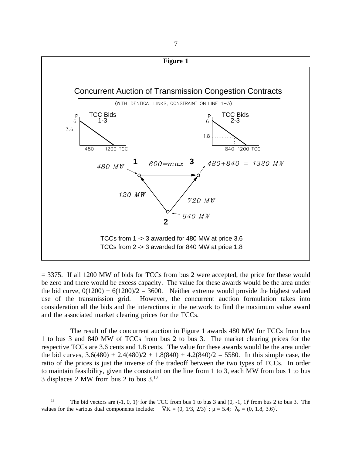

= 3375. If all 1200 MW of bids for TCCs from bus 2 were accepted, the price for these would be zero and there would be excess capacity. The value for these awards would be the area under the bid curve,  $0(1200) + 6(1200)/2 = 3600$ . Neither extreme would provide the highest valued use of the transmission grid. However, the concurrent auction formulation takes into consideration all the bids and the interactions in the network to find the maximum value award and the associated market clearing prices for the TCCs.

The result of the concurrent auction in Figure 1 awards 480 MW for TCCs from bus 1 to bus 3 and 840 MW of TCCs from bus 2 to bus 3. The market clearing prices for the respective TCCs are 3.6 cents and 1.8 cents. The value for these awards would be the area under the bid curves,  $3.6(480) + 2.4(480)/2 + 1.8(840) + 4.2(840)/2 = 5580$ . In this simple case, the ratio of the prices is just the inverse of the tradeoff between the two types of TCCs. In order to maintain feasibility, given the constraint on the line from 1 to 3, each MW from bus 1 to bus 3 displaces 2 MW from bus 2 to bus 3.13

<sup>&</sup>lt;sup>13</sup> The bid vectors are  $(-1, 0, 1)$ <sup>t</sup> for the TCC from bus 1 to bus 3 and  $(0, -1, 1)$ <sup>t</sup> from bus 2 to bus 3. The values for the various dual components include:  $\nabla K = (0, 1/3, 2/3)^t$ ;  $\mu = 5.4$ ;  $\lambda_p = (0, 1.8, 3.6)^t$ .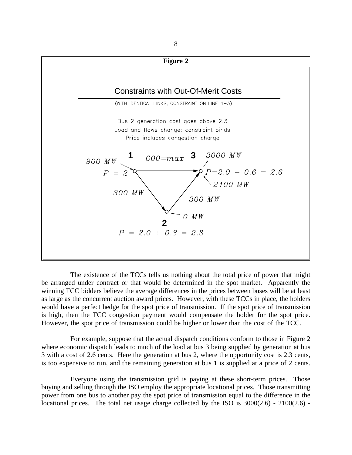

The existence of the TCCs tells us nothing about the total price of power that might be arranged under contract or that would be determined in the spot market. Apparently the winning TCC bidders believe the average differences in the prices between buses will be at least as large as the concurrent auction award prices. However, with these TCCs in place, the holders would have a perfect hedge for the spot price of transmission. If the spot price of transmission is high, then the TCC congestion payment would compensate the holder for the spot price. However, the spot price of transmission could be higher or lower than the cost of the TCC.

For example, suppose that the actual dispatch conditions conform to those in Figure 2 where economic dispatch leads to much of the load at bus 3 being supplied by generation at bus 3 with a cost of 2.6 cents. Here the generation at bus 2, where the opportunity cost is 2.3 cents, is too expensive to run, and the remaining generation at bus 1 is supplied at a price of 2 cents.

Everyone using the transmission grid is paying at these short-term prices. Those buying and selling through the ISO employ the appropriate locational prices. Those transmitting power from one bus to another pay the spot price of transmission equal to the difference in the locational prices. The total net usage charge collected by the ISO is  $3000(2.6)$  -  $2100(2.6)$  -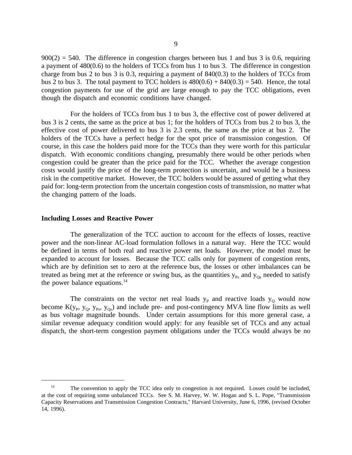$900(2) = 540$ . The difference in congestion charges between bus 1 and bus 3 is 0.6, requiring a payment of 480(0.6) to the holders of TCCs from bus 1 to bus 3. The difference in congestion charge from bus 2 to bus 3 is 0.3, requiring a payment of  $840(0.3)$  to the holders of TCCs from bus 2 to bus 3. The total payment to TCC holders is  $480(0.6) + 840(0.3) = 540$ . Hence, the total congestion payments for use of the grid are large enough to pay the TCC obligations, even though the dispatch and economic conditions have changed.

For the holders of TCCs from bus 1 to bus 3, the effective cost of power delivered at bus 3 is 2 cents, the same as the price at bus 1; for the holders of TCCs from bus 2 to bus 3, the effective cost of power delivered to bus 3 is 2.3 cents, the same as the price at bus 2. The holders of the TCCs have a perfect hedge for the spot price of transmission congestion. Of course, in this case the holders paid more for the TCCs than they were worth for this particular dispatch. With economic conditions changing, presumably there would be other periods when congestion could be greater than the price paid for the TCC. Whether the average congestion costs would justify the price of the long-term protection is uncertain, and would be a business risk in the competitive market. However, the TCC holders would be assured of getting what they paid for: long-term protection from the uncertain congestion costs of transmission, no matter what the changing pattern of the loads.

#### **Including Losses and Reactive Power**

The generalization of the TCC auction to account for the effects of losses, reactive power and the non-linear AC-load formulation follows in a natural way. Here the TCC would be defined in terms of both real and reactive power net loads. However, the model must be expanded to account for losses. Because the TCC calls only for payment of congestion rents, which are by definition set to zero at the reference bus, the losses or other imbalances can be treated as being met at the reference or swing bus, as the quantities  $y_{Ps}$  and  $y_{Os}$  needed to satisfy the power balance equations. $^{14}$ 

The constraints on the vector net real loads  $y<sub>p</sub>$  and reactive loads  $y<sub>o</sub>$  would now become  $K(y_p, y_o, y_{p_s}, y_{q_s})$  and include pre- and post-contingency MVA line flow limits as well as bus voltage magnitude bounds. Under certain assumptions for this more general case, a similar revenue adequacy condition would apply: for any feasible set of TCCs and any actual dispatch, the short-term congestion payment obligations under the TCCs would always be no

<sup>&</sup>lt;sup>14</sup> The convention to apply the TCC idea only to congestion is not required. Losses could be included, at the cost of requiring some unbalanced TCCs. See S. M. Harvey, W. W. Hogan and S. L. Pope, "Transmission Capacity Reservations and Transmission Congestion Contracts," Harvard University, June 6, 1996, (revised October 14, 1996).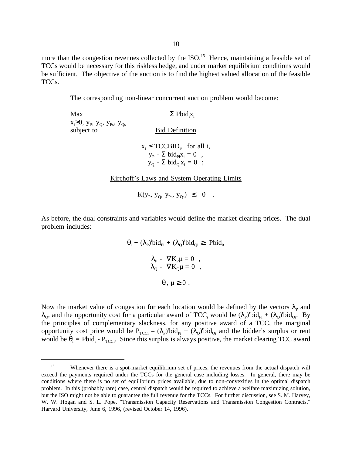more than the congestion revenues collected by the ISO.<sup>15</sup> Hence, maintaining a feasible set of TCCs would be necessary for this riskless hedge, and under market equilibrium conditions would be sufficient. The objective of the auction is to find the highest valued allocation of the feasible TCCs.

The corresponding non-linear concurrent auction problem would become:

Max  $\Sigma$  Pbid<sub>i</sub>x<sub>i</sub>  $x_i \geq 0$ ,  $y_P$ ,  $y_Q$ ,  $y_{Ps}$ ,  $y_{Qs}$ subject to Bid Definition  $x_i \leq TCCBID_i$ , for all i,  $y_P$  -  $\Sigma$  bid<sub>Pi</sub> $X_i = 0$ ,  $y_0 - \sum \text{bid}_{0i}x_i = 0$ ;

Kirchoff's Laws and System Operating Limits

 $K(y_P, y_Q, y_{Ps}, y_{Os}) \leq 0$ .

As before, the dual constraints and variables would define the market clearing prices. The dual problem includes:

> $\theta_i + (\lambda_p)^t \text{bid}_{p_i} + (\lambda_q)^t \text{bid}_{Q_i} \ge \text{Pbid}_i,$  $\lambda_{\rm P}$  -  $\nabla K_{\rm P}\mu = 0$ ,  $\lambda_{\text{Q}}$  -  $\nabla \text{K}_{\text{Q}} \mu = 0$  ,  $\theta_i, \mu \geq 0$ .

Now the market value of congestion for each location would be defined by the vectors  $\lambda_{\rm p}$  and  $\lambda_{Q}$ , and the opportunity cost for a particular award of TCC<sub>i</sub> would be  $(\lambda_{p})^{t}$ bid<sub>pi</sub> +  $(\lambda_{Q})^{t}$ bid<sub>Qi</sub>. By the principles of complementary slackness, for any positive award of a TCC, the marginal opportunity cost price would be  $P_{TCCi} = (\lambda_P)^t bid_{pi} + (\lambda_Q)^t bid_{Qi}$  and the bidder's surplus or rent would be  $\theta_i$  = Pbid<sub>i</sub> - P<sub>TCCi</sub>. Since this surplus is always positive, the market clearing TCC award

<sup>&</sup>lt;sup>15</sup> Whenever there is a spot-market equilibrium set of prices, the revenues from the actual dispatch will exceed the payments required under the TCCs for the general case including losses. In general, there may be conditions where there is no set of equilibrium prices available, due to non-convexities in the optimal dispatch problem. In this (probably rare) case, central dispatch would be required to achieve a welfare maximizing solution, but the ISO might not be able to guarantee the full revenue for the TCCs. For further discussion, see S. M. Harvey, W. W. Hogan and S. L. Pope, "Transmission Capacity Reservations and Transmission Congestion Contracts," Harvard University, June 6, 1996, (revised October 14, 1996).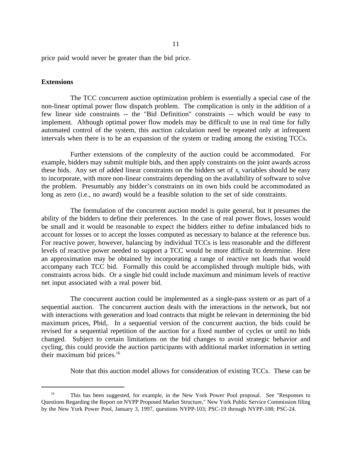price paid would never be greater than the bid price.

### **Extensions**

The TCC concurrent auction optimization problem is essentially a special case of the non-linear optimal power flow dispatch problem. The complication is only in the addition of a few linear side constraints -- the "Bid Definition" constraints -- which would be easy to implement. Although optimal power flow models may be difficult to use in real time for fully automated control of the system, this auction calculation need be repeated only at infrequent intervals when there is to be an expansion of the system or trading among the existing TCCs.

Further extensions of the complexity of the auction could be accommodated. For example, bidders may submit multiple bids, and then apply constraints on the joint awards across these bids. Any set of added linear constraints on the bidders set of  $x_i$  variables should be easy to incorporate, with more non-linear constraints depending on the availability of software to solve the problem. Presumably any bidder's constraints on its own bids could be accommodated as long as zero (i.e., no award) would be a feasible solution to the set of side constraints.

The formulation of the concurrent auction model is quite general, but it presumes the ability of the bidders to define their preferences. In the case of real power flows, losses would be small and it would be reasonable to expect the bidders either to define imbalanced bids to account for losses or to accept the losses computed as necessary to balance at the reference bus. For reactive power, however, balancing by individual TCCs is less reasonable and the different levels of reactive power needed to support a TCC would be more difficult to determine. Here an approximation may be obtained by incorporating a range of reactive net loads that would accompany each TCC bid. Formally this could be accomplished through multiple bids, with constraints across bids. Or a single bid could include maximum and minimum levels of reactive net input associated with a real power bid.

The concurrent auction could be implemented as a single-pass system or as part of a sequential auction. The concurrent auction deals with the interactions in the network, but not with interactions with generation and load contracts that might be relevant in determining the bid maximum prices, Pbid<sub>i</sub>. In a sequential version of the concurrent auction, the bids could be revised for a sequential repetition of the auction for a fixed number of cycles or until no bids changed. Subject to certain limitations on the bid changes to avoid strategic behavior and cycling, this could provide the auction participants with additional market information in setting their maximum bid prices. $16$ 

Note that this auction model allows for consideration of existing TCCs. These can be

<sup>&</sup>lt;sup>16</sup> This has been suggested, for example, in the New York Power Pool proposal. See "Responses to Questions Regarding the Report on NYPP Proposed Market Structure," New York Public Service Commission filing by the New York Power Pool, January 3, 1997, questions NYPP-103; PSC-19 through NYPP-108; PSC-24.